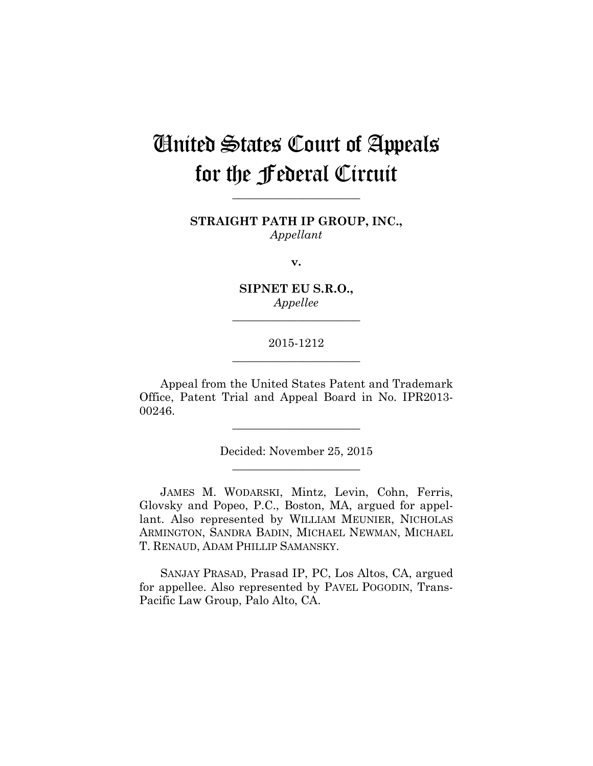# United States Court of Appeals for the Federal Circuit

**STRAIGHT PATH IP GROUP, INC.,** *Appellant*

**\_\_\_\_\_\_\_\_\_\_\_\_\_\_\_\_\_\_\_\_\_\_** 

**v.**

**SIPNET EU S.R.O.,** *Appellee*

**\_\_\_\_\_\_\_\_\_\_\_\_\_\_\_\_\_\_\_\_\_\_** 

## 2015-1212 **\_\_\_\_\_\_\_\_\_\_\_\_\_\_\_\_\_\_\_\_\_\_**

Appeal from the United States Patent and Trademark Office, Patent Trial and Appeal Board in No. IPR2013- 00246.

> Decided: November 25, 2015 **\_\_\_\_\_\_\_\_\_\_\_\_\_\_\_\_\_\_\_\_\_\_**

**\_\_\_\_\_\_\_\_\_\_\_\_\_\_\_\_\_\_\_\_\_\_** 

JAMES M. WODARSKI, Mintz, Levin, Cohn, Ferris, Glovsky and Popeo, P.C., Boston, MA, argued for appellant. Also represented by WILLIAM MEUNIER, NICHOLAS ARMINGTON, SANDRA BADIN, MICHAEL NEWMAN, MICHAEL T. RENAUD, ADAM PHILLIP SAMANSKY.

SANJAY PRASAD, Prasad IP, PC, Los Altos, CA, argued for appellee. Also represented by PAVEL POGODIN, Trans-Pacific Law Group, Palo Alto, CA.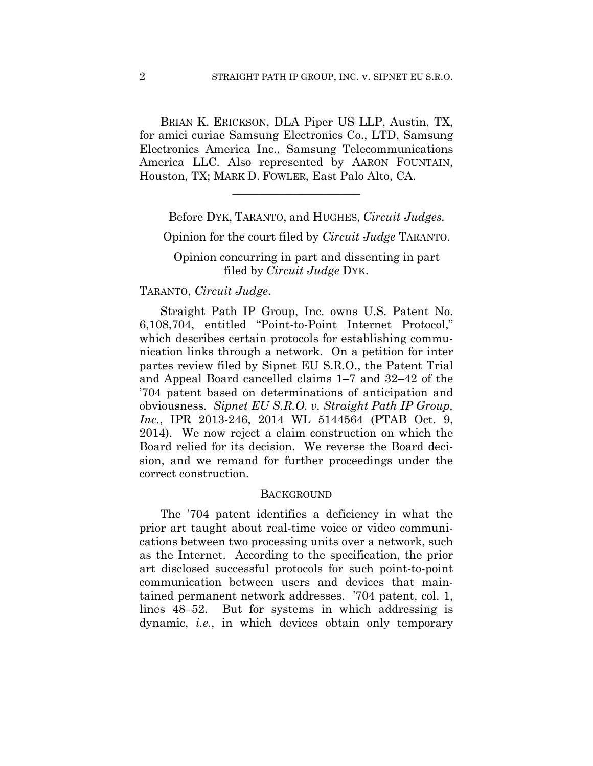BRIAN K. ERICKSON, DLA Piper US LLP, Austin, TX, for amici curiae Samsung Electronics Co., LTD, Samsung Electronics America Inc., Samsung Telecommunications America LLC. Also represented by AARON FOUNTAIN, Houston, TX; MARK D. FOWLER, East Palo Alto, CA.

**\_\_\_\_\_\_\_\_\_\_\_\_\_\_\_\_\_\_\_\_\_\_** 

Before DYK, TARANTO, and HUGHES, *Circuit Judges.*

Opinion for the court filed by *Circuit Judge* TARANTO.

Opinion concurring in part and dissenting in part filed by *Circuit Judge* DYK.

## TARANTO, *Circuit Judge*.

Straight Path IP Group, Inc. owns U.S. Patent No. 6,108,704, entitled "Point-to-Point Internet Protocol," which describes certain protocols for establishing communication links through a network. On a petition for inter partes review filed by Sipnet EU S.R.O., the Patent Trial and Appeal Board cancelled claims 1–7 and 32–42 of the '704 patent based on determinations of anticipation and obviousness. *Sipnet EU S.R.O. v. Straight Path IP Group, Inc.*, IPR 2013-246, 2014 WL 5144564 (PTAB Oct. 9, 2014). We now reject a claim construction on which the Board relied for its decision. We reverse the Board decision, and we remand for further proceedings under the correct construction.

#### **BACKGROUND**

The '704 patent identifies a deficiency in what the prior art taught about real-time voice or video communications between two processing units over a network, such as the Internet. According to the specification, the prior art disclosed successful protocols for such point-to-point communication between users and devices that maintained permanent network addresses. '704 patent, col. 1, lines 48–52. But for systems in which addressing is dynamic, *i.e.*, in which devices obtain only temporary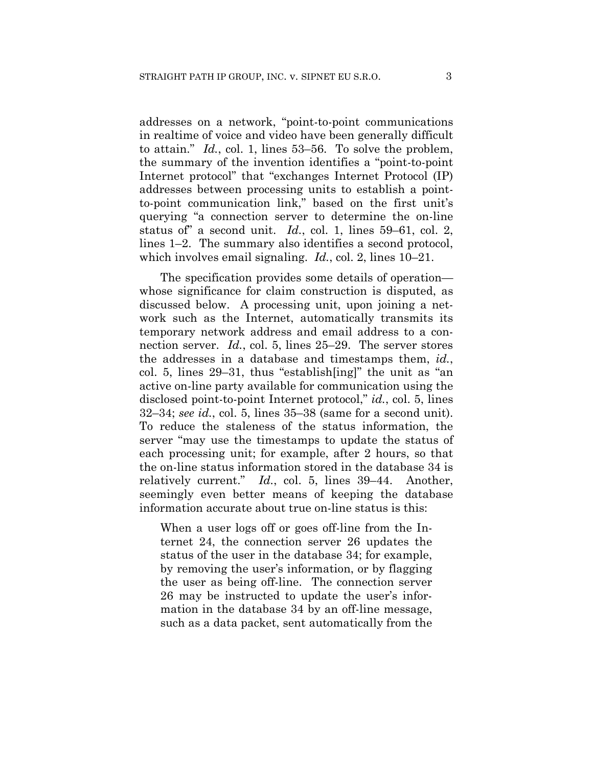addresses on a network, "point-to-point communications in realtime of voice and video have been generally difficult to attain." *Id.*, col. 1, lines 53–56. To solve the problem, the summary of the invention identifies a "point-to-point Internet protocol" that "exchanges Internet Protocol (IP) addresses between processing units to establish a pointto-point communication link," based on the first unit's querying "a connection server to determine the on-line status of" a second unit. *Id.*, col. 1, lines 59–61, col. 2, lines 1–2. The summary also identifies a second protocol, which involves email signaling. *Id.*, col. 2, lines 10–21.

The specification provides some details of operation whose significance for claim construction is disputed, as discussed below. A processing unit, upon joining a network such as the Internet, automatically transmits its temporary network address and email address to a connection server. *Id.*, col. 5, lines 25–29. The server stores the addresses in a database and timestamps them, *id.*, col. 5, lines 29–31, thus "establish[ing]" the unit as "an active on-line party available for communication using the disclosed point-to-point Internet protocol," *id.*, col. 5, lines 32–34; *see id.*, col. 5, lines 35–38 (same for a second unit). To reduce the staleness of the status information, the server "may use the timestamps to update the status of each processing unit; for example, after 2 hours, so that the on-line status information stored in the database 34 is relatively current." *Id.*, col. 5, lines 39–44. Another, seemingly even better means of keeping the database information accurate about true on-line status is this:

When a user logs off or goes off-line from the Internet 24, the connection server 26 updates the status of the user in the database 34; for example, by removing the user's information, or by flagging the user as being off-line. The connection server 26 may be instructed to update the user's information in the database 34 by an off-line message, such as a data packet, sent automatically from the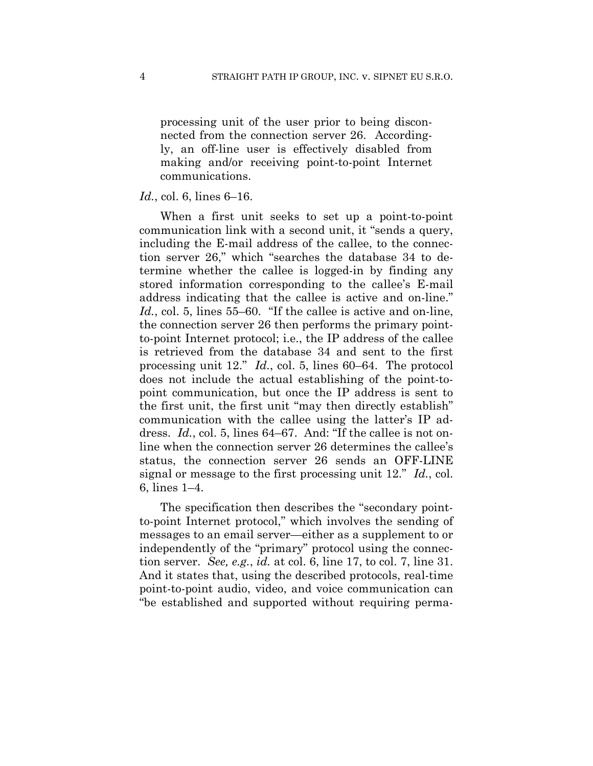processing unit of the user prior to being disconnected from the connection server 26. Accordingly, an off-line user is effectively disabled from making and/or receiving point-to-point Internet communications.

## *Id.*, col. 6, lines 6–16.

When a first unit seeks to set up a point-to-point communication link with a second unit, it "sends a query, including the E-mail address of the callee, to the connection server 26," which "searches the database 34 to determine whether the callee is logged-in by finding any stored information corresponding to the callee's E-mail address indicating that the callee is active and on-line." *Id.*, col. 5, lines 55–60. "If the callee is active and on-line, the connection server 26 then performs the primary pointto-point Internet protocol; i.e., the IP address of the callee is retrieved from the database 34 and sent to the first processing unit 12." *Id.*, col. 5, lines 60–64. The protocol does not include the actual establishing of the point-topoint communication, but once the IP address is sent to the first unit, the first unit "may then directly establish" communication with the callee using the latter's IP address. *Id.*, col. 5, lines 64–67. And: "If the callee is not online when the connection server 26 determines the callee's status, the connection server 26 sends an OFF-LINE signal or message to the first processing unit 12." *Id.*, col. 6, lines 1–4.

The specification then describes the "secondary pointto-point Internet protocol," which involves the sending of messages to an email server—either as a supplement to or independently of the "primary" protocol using the connection server. *See, e.g.*, *id.* at col. 6, line 17, to col. 7, line 31. And it states that, using the described protocols, real-time point-to-point audio, video, and voice communication can "be established and supported without requiring perma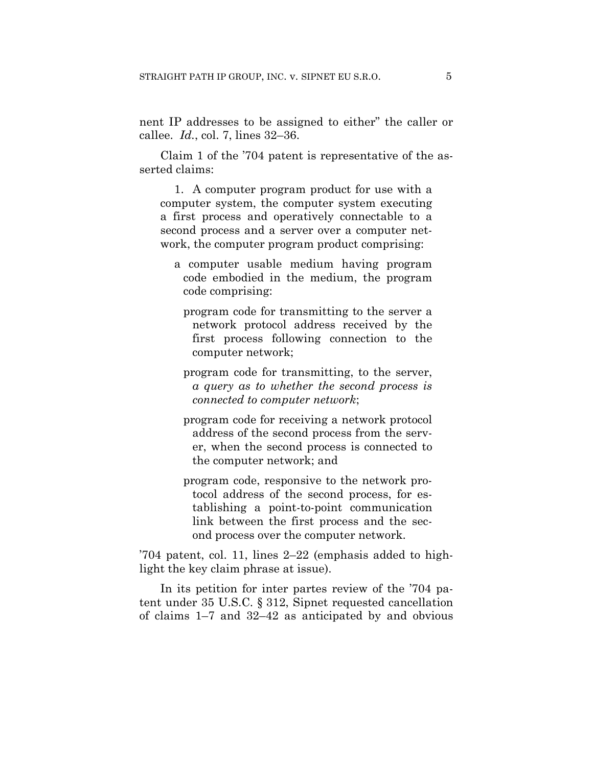nent IP addresses to be assigned to either" the caller or callee. *Id.*, col. 7, lines 32–36.

Claim 1 of the '704 patent is representative of the asserted claims:

1. A computer program product for use with a computer system, the computer system executing a first process and operatively connectable to a second process and a server over a computer network, the computer program product comprising:

- a computer usable medium having program code embodied in the medium, the program code comprising:
	- program code for transmitting to the server a network protocol address received by the first process following connection to the computer network;
	- program code for transmitting, to the server, *a query as to whether the second process is connected to computer network*;
	- program code for receiving a network protocol address of the second process from the server, when the second process is connected to the computer network; and
	- program code, responsive to the network protocol address of the second process, for establishing a point-to-point communication link between the first process and the second process over the computer network.

'704 patent, col. 11, lines 2–22 (emphasis added to highlight the key claim phrase at issue).

In its petition for inter partes review of the '704 patent under 35 U.S.C. § 312, Sipnet requested cancellation of claims 1–7 and 32–42 as anticipated by and obvious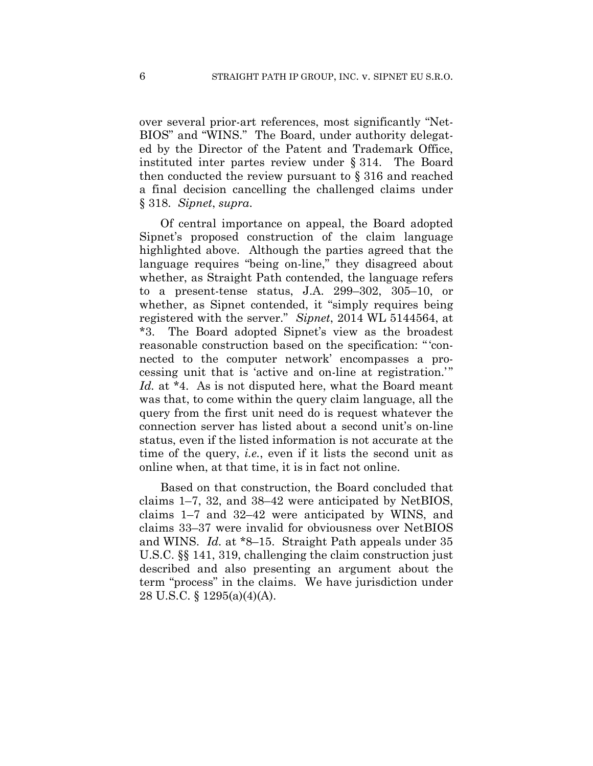over several prior-art references, most significantly "Net-BIOS" and "WINS." The Board, under authority delegated by the Director of the Patent and Trademark Office, instituted inter partes review under § 314. The Board then conducted the review pursuant to § 316 and reached a final decision cancelling the challenged claims under § 318. *Sipnet*, *supra*.

Of central importance on appeal, the Board adopted Sipnet's proposed construction of the claim language highlighted above. Although the parties agreed that the language requires "being on-line," they disagreed about whether, as Straight Path contended, the language refers to a present-tense status, J.A. 299–302, 305–10, or whether, as Sipnet contended, it "simply requires being registered with the server." *Sipnet*, 2014 WL 5144564, at \*3. The Board adopted Sipnet's view as the broadest reasonable construction based on the specification: "'connected to the computer network' encompasses a processing unit that is 'active and on-line at registration.'" *Id.* at \*4. As is not disputed here, what the Board meant was that, to come within the query claim language, all the query from the first unit need do is request whatever the connection server has listed about a second unit's on-line status, even if the listed information is not accurate at the time of the query, *i.e.*, even if it lists the second unit as online when, at that time, it is in fact not online.

Based on that construction, the Board concluded that claims 1–7, 32, and 38–42 were anticipated by NetBIOS, claims 1–7 and 32–42 were anticipated by WINS, and claims 33–37 were invalid for obviousness over NetBIOS and WINS. *Id.* at \*8–15. Straight Path appeals under 35 U.S.C. §§ 141, 319, challenging the claim construction just described and also presenting an argument about the term "process" in the claims. We have jurisdiction under 28 U.S.C. § 1295(a)(4)(A).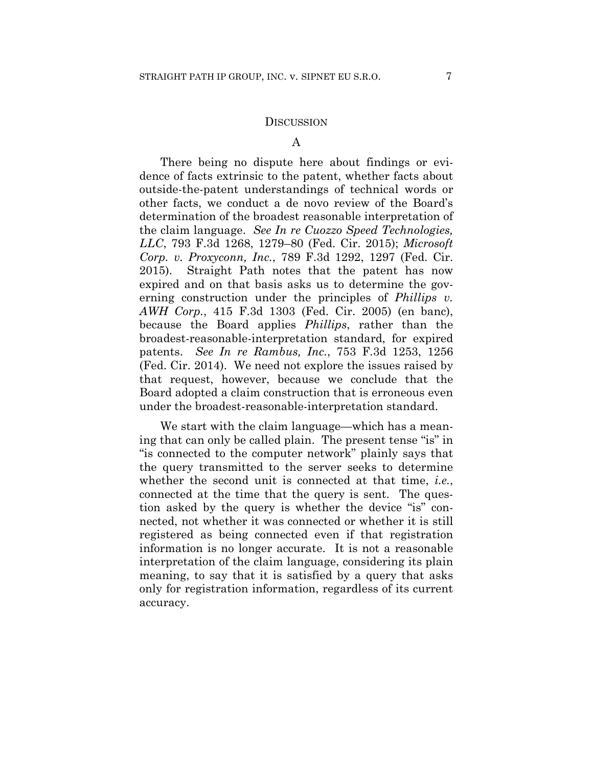### **DISCUSSION**

### A

There being no dispute here about findings or evidence of facts extrinsic to the patent, whether facts about outside-the-patent understandings of technical words or other facts, we conduct a de novo review of the Board's determination of the broadest reasonable interpretation of the claim language. *See In re Cuozzo Speed Technologies, LLC*, 793 F.3d 1268, 1279–80 (Fed. Cir. 2015); *Microsoft Corp. v. Proxyconn, Inc.*, 789 F.3d 1292, 1297 (Fed. Cir. 2015). Straight Path notes that the patent has now expired and on that basis asks us to determine the governing construction under the principles of *Phillips v. AWH Corp.*, 415 F.3d 1303 (Fed. Cir. 2005) (en banc), because the Board applies *Phillips*, rather than the broadest-reasonable-interpretation standard, for expired patents. *See In re Rambus, Inc.*, 753 F.3d 1253, 1256 (Fed. Cir. 2014). We need not explore the issues raised by that request, however, because we conclude that the Board adopted a claim construction that is erroneous even under the broadest-reasonable-interpretation standard.

We start with the claim language—which has a meaning that can only be called plain. The present tense "is" in "is connected to the computer network" plainly says that the query transmitted to the server seeks to determine whether the second unit is connected at that time, *i.e.*, connected at the time that the query is sent. The question asked by the query is whether the device "is" connected, not whether it was connected or whether it is still registered as being connected even if that registration information is no longer accurate. It is not a reasonable interpretation of the claim language, considering its plain meaning, to say that it is satisfied by a query that asks only for registration information, regardless of its current accuracy.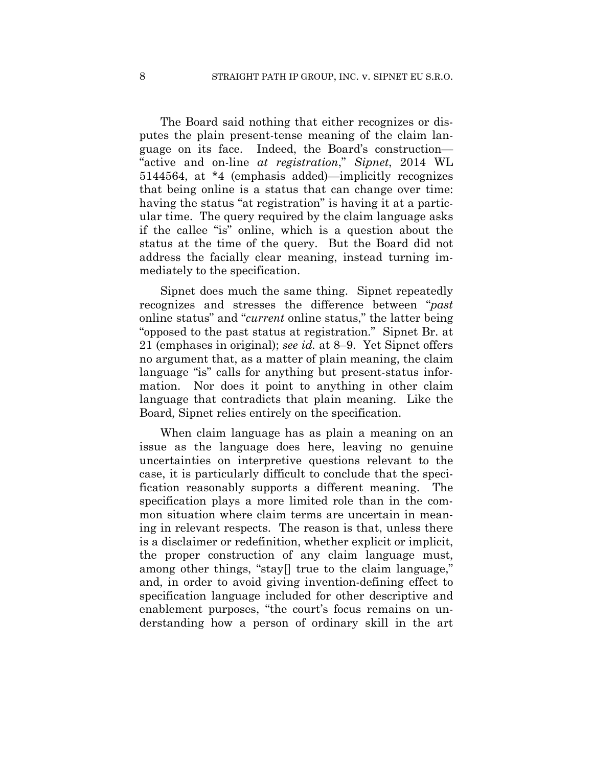The Board said nothing that either recognizes or disputes the plain present-tense meaning of the claim language on its face. Indeed, the Board's construction— "active and on-line *at registration*," *Sipnet*, 2014 WL 5144564, at \*4 (emphasis added)—implicitly recognizes that being online is a status that can change over time: having the status "at registration" is having it at a particular time. The query required by the claim language asks if the callee "is" online, which is a question about the status at the time of the query. But the Board did not address the facially clear meaning, instead turning immediately to the specification.

Sipnet does much the same thing. Sipnet repeatedly recognizes and stresses the difference between "*past* online status" and "*current* online status," the latter being "opposed to the past status at registration." Sipnet Br. at 21 (emphases in original); *see id.* at 8–9. Yet Sipnet offers no argument that, as a matter of plain meaning, the claim language "is" calls for anything but present-status information. Nor does it point to anything in other claim language that contradicts that plain meaning. Like the Board, Sipnet relies entirely on the specification.

When claim language has as plain a meaning on an issue as the language does here, leaving no genuine uncertainties on interpretive questions relevant to the case, it is particularly difficult to conclude that the specification reasonably supports a different meaning. The specification plays a more limited role than in the common situation where claim terms are uncertain in meaning in relevant respects. The reason is that, unless there is a disclaimer or redefinition, whether explicit or implicit, the proper construction of any claim language must, among other things, "stay[] true to the claim language," and, in order to avoid giving invention-defining effect to specification language included for other descriptive and enablement purposes, "the court's focus remains on understanding how a person of ordinary skill in the art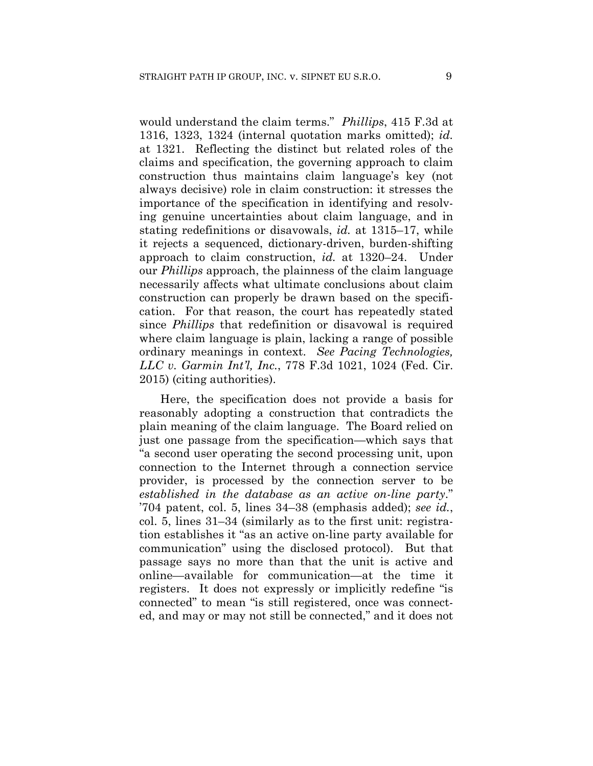would understand the claim terms." *Phillips*, 415 F.3d at 1316, 1323, 1324 (internal quotation marks omitted); *id.* at 1321. Reflecting the distinct but related roles of the claims and specification, the governing approach to claim construction thus maintains claim language's key (not always decisive) role in claim construction: it stresses the importance of the specification in identifying and resolving genuine uncertainties about claim language, and in stating redefinitions or disavowals, *id.* at 1315–17, while it rejects a sequenced, dictionary-driven, burden-shifting approach to claim construction, *id.* at 1320–24. Under our *Phillips* approach, the plainness of the claim language necessarily affects what ultimate conclusions about claim construction can properly be drawn based on the specification. For that reason, the court has repeatedly stated since *Phillips* that redefinition or disavowal is required where claim language is plain, lacking a range of possible ordinary meanings in context. *See Pacing Technologies, LLC v. Garmin Int'l, Inc.*, 778 F.3d 1021, 1024 (Fed. Cir. 2015) (citing authorities).

Here, the specification does not provide a basis for reasonably adopting a construction that contradicts the plain meaning of the claim language. The Board relied on just one passage from the specification—which says that "a second user operating the second processing unit, upon connection to the Internet through a connection service provider, is processed by the connection server to be *established in the database as an active on-line party*." '704 patent, col. 5, lines 34–38 (emphasis added); *see id.*, col. 5, lines 31–34 (similarly as to the first unit: registration establishes it "as an active on-line party available for communication" using the disclosed protocol). But that passage says no more than that the unit is active and online—available for communication—at the time it registers. It does not expressly or implicitly redefine "is connected" to mean "is still registered, once was connected, and may or may not still be connected," and it does not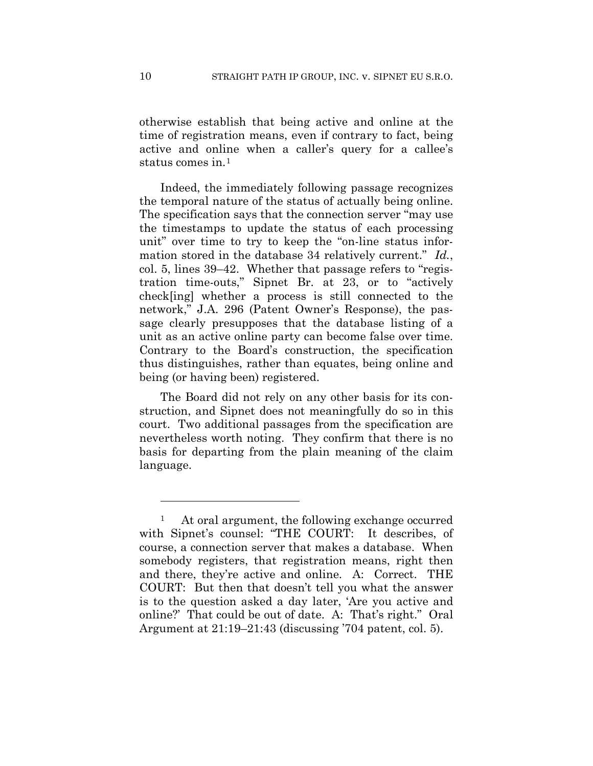otherwise establish that being active and online at the time of registration means, even if contrary to fact, being active and online when a caller's query for a callee's status comes in.1

Indeed, the immediately following passage recognizes the temporal nature of the status of actually being online. The specification says that the connection server "may use the timestamps to update the status of each processing unit" over time to try to keep the "on-line status information stored in the database 34 relatively current." *Id.*, col. 5, lines 39–42. Whether that passage refers to "registration time-outs," Sipnet Br. at 23, or to "actively check[ing] whether a process is still connected to the network," J.A. 296 (Patent Owner's Response), the passage clearly presupposes that the database listing of a unit as an active online party can become false over time. Contrary to the Board's construction, the specification thus distinguishes, rather than equates, being online and being (or having been) registered.

The Board did not rely on any other basis for its construction, and Sipnet does not meaningfully do so in this court. Two additional passages from the specification are nevertheless worth noting. They confirm that there is no basis for departing from the plain meaning of the claim language.

1

<sup>&</sup>lt;sup>1</sup> At oral argument, the following exchange occurred with Sipnet's counsel: "THE COURT: It describes, of course, a connection server that makes a database. When somebody registers, that registration means, right then and there, they're active and online. A: Correct. THE COURT: But then that doesn't tell you what the answer is to the question asked a day later, 'Are you active and online?' That could be out of date. A: That's right." Oral Argument at 21:19–21:43 (discussing '704 patent, col. 5).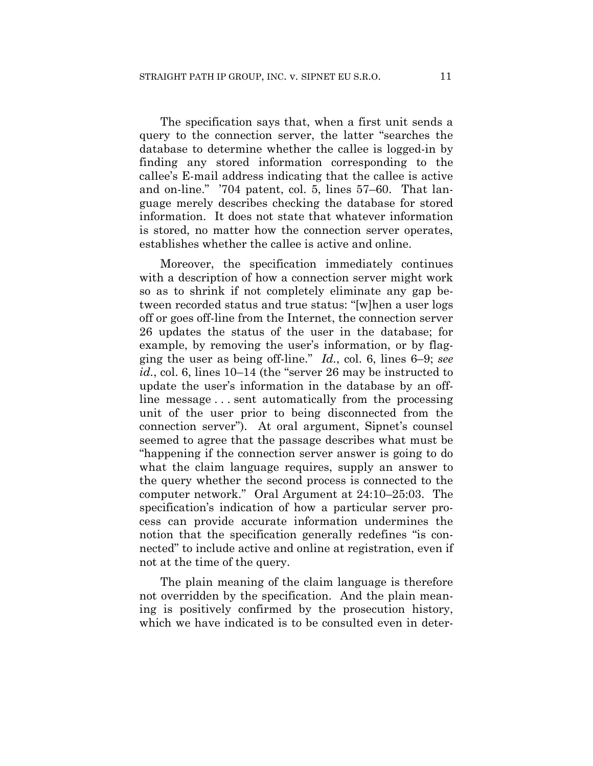The specification says that, when a first unit sends a query to the connection server, the latter "searches the database to determine whether the callee is logged-in by finding any stored information corresponding to the callee's E-mail address indicating that the callee is active and on-line." '704 patent, col. 5, lines 57–60. That language merely describes checking the database for stored information. It does not state that whatever information is stored, no matter how the connection server operates, establishes whether the callee is active and online.

Moreover, the specification immediately continues with a description of how a connection server might work so as to shrink if not completely eliminate any gap between recorded status and true status: "[w]hen a user logs off or goes off-line from the Internet, the connection server 26 updates the status of the user in the database; for example, by removing the user's information, or by flagging the user as being off-line." *Id.*, col. 6, lines 6–9; *see id.*, col. 6, lines 10–14 (the "server 26 may be instructed to update the user's information in the database by an offline message . . . sent automatically from the processing unit of the user prior to being disconnected from the connection server"). At oral argument, Sipnet's counsel seemed to agree that the passage describes what must be "happening if the connection server answer is going to do what the claim language requires, supply an answer to the query whether the second process is connected to the computer network." Oral Argument at 24:10–25:03. The specification's indication of how a particular server process can provide accurate information undermines the notion that the specification generally redefines "is connected" to include active and online at registration, even if not at the time of the query.

The plain meaning of the claim language is therefore not overridden by the specification. And the plain meaning is positively confirmed by the prosecution history, which we have indicated is to be consulted even in deter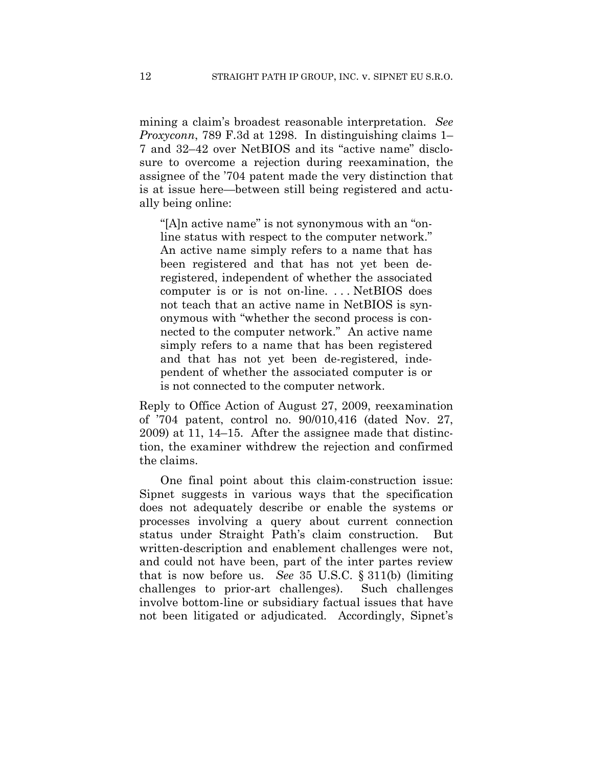mining a claim's broadest reasonable interpretation. *See Proxyconn*, 789 F.3d at 1298. In distinguishing claims 1– 7 and 32–42 over NetBIOS and its "active name" disclosure to overcome a rejection during reexamination, the assignee of the '704 patent made the very distinction that is at issue here—between still being registered and actually being online:

"[A]n active name" is not synonymous with an "online status with respect to the computer network." An active name simply refers to a name that has been registered and that has not yet been deregistered, independent of whether the associated computer is or is not on-line. . . . NetBIOS does not teach that an active name in NetBIOS is synonymous with "whether the second process is connected to the computer network." An active name simply refers to a name that has been registered and that has not yet been de-registered, independent of whether the associated computer is or is not connected to the computer network.

Reply to Office Action of August 27, 2009, reexamination of '704 patent, control no. 90/010,416 (dated Nov. 27, 2009) at 11, 14–15. After the assignee made that distinction, the examiner withdrew the rejection and confirmed the claims.

One final point about this claim-construction issue: Sipnet suggests in various ways that the specification does not adequately describe or enable the systems or processes involving a query about current connection status under Straight Path's claim construction. But written-description and enablement challenges were not, and could not have been, part of the inter partes review that is now before us. *See* 35 U.S.C. § 311(b) (limiting challenges to prior-art challenges). Such challenges involve bottom-line or subsidiary factual issues that have not been litigated or adjudicated. Accordingly, Sipnet's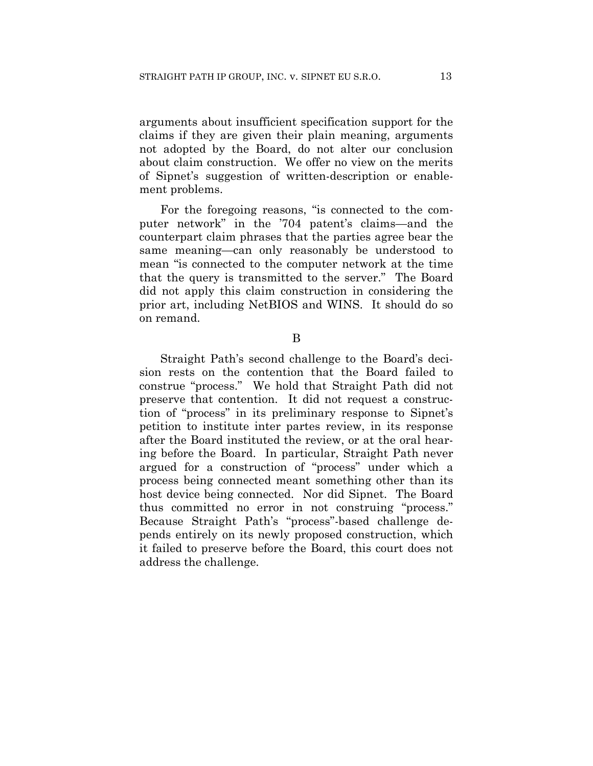arguments about insufficient specification support for the claims if they are given their plain meaning, arguments not adopted by the Board, do not alter our conclusion about claim construction. We offer no view on the merits of Sipnet's suggestion of written-description or enablement problems.

For the foregoing reasons, "is connected to the computer network" in the '704 patent's claims—and the counterpart claim phrases that the parties agree bear the same meaning—can only reasonably be understood to mean "is connected to the computer network at the time that the query is transmitted to the server." The Board did not apply this claim construction in considering the prior art, including NetBIOS and WINS. It should do so on remand.

B

Straight Path's second challenge to the Board's decision rests on the contention that the Board failed to construe "process." We hold that Straight Path did not preserve that contention. It did not request a construction of "process" in its preliminary response to Sipnet's petition to institute inter partes review, in its response after the Board instituted the review, or at the oral hearing before the Board. In particular, Straight Path never argued for a construction of "process" under which a process being connected meant something other than its host device being connected. Nor did Sipnet. The Board thus committed no error in not construing "process." Because Straight Path's "process"-based challenge depends entirely on its newly proposed construction, which it failed to preserve before the Board, this court does not address the challenge.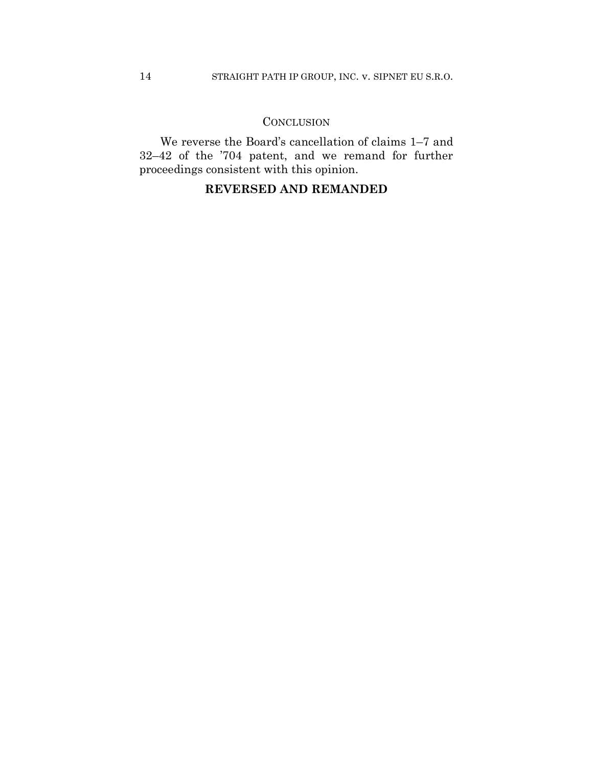# **CONCLUSION**

We reverse the Board's cancellation of claims 1–7 and 32–42 of the '704 patent, and we remand for further proceedings consistent with this opinion.

# **REVERSED AND REMANDED**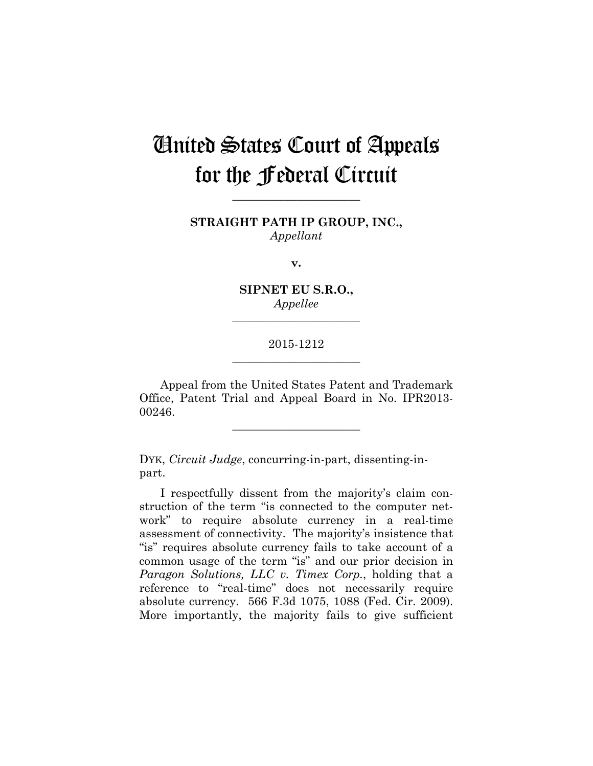# United States Court of Appeals for the Federal Circuit

**STRAIGHT PATH IP GROUP, INC.,** *Appellant*

**\_\_\_\_\_\_\_\_\_\_\_\_\_\_\_\_\_\_\_\_\_\_** 

**v.**

**SIPNET EU S.R.O.,** *Appellee*

**\_\_\_\_\_\_\_\_\_\_\_\_\_\_\_\_\_\_\_\_\_\_** 

## 2015-1212 **\_\_\_\_\_\_\_\_\_\_\_\_\_\_\_\_\_\_\_\_\_\_**

Appeal from the United States Patent and Trademark Office, Patent Trial and Appeal Board in No. IPR2013- 00246.

**\_\_\_\_\_\_\_\_\_\_\_\_\_\_\_\_\_\_\_\_\_\_** 

DYK, *Circuit Judge*, concurring-in-part, dissenting-inpart.

I respectfully dissent from the majority's claim construction of the term "is connected to the computer network" to require absolute currency in a real-time assessment of connectivity. The majority's insistence that "is" requires absolute currency fails to take account of a common usage of the term "is" and our prior decision in *Paragon Solutions, LLC v. Timex Corp.*, holding that a reference to "real-time" does not necessarily require absolute currency. 566 F.3d 1075, 1088 (Fed. Cir. 2009). More importantly, the majority fails to give sufficient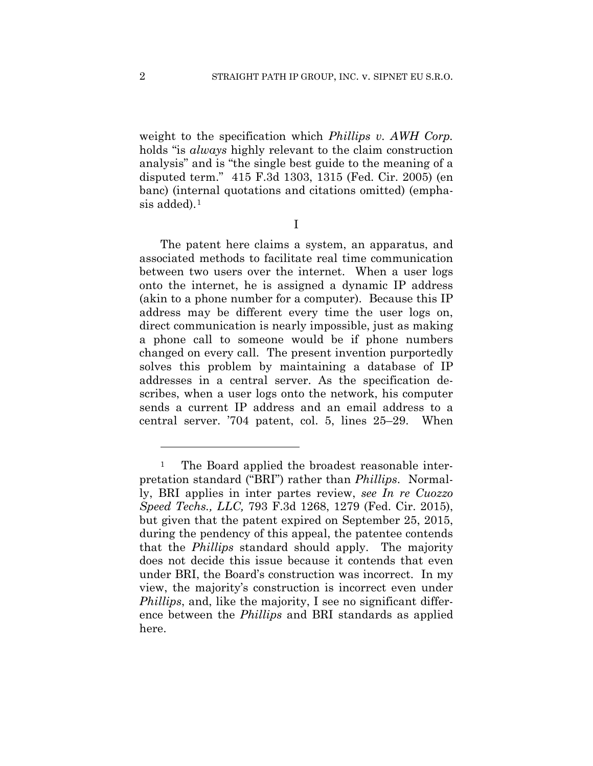weight to the specification which *Phillips v. AWH Corp.* holds "is *always* highly relevant to the claim construction analysis" and is "the single best guide to the meaning of a disputed term." 415 F.3d 1303, 1315 (Fed. Cir. 2005) (en banc) (internal quotations and citations omitted) (emphasis added).<sup>1</sup>

I

The patent here claims a system, an apparatus, and associated methods to facilitate real time communication between two users over the internet. When a user logs onto the internet, he is assigned a dynamic IP address (akin to a phone number for a computer). Because this IP address may be different every time the user logs on, direct communication is nearly impossible, just as making a phone call to someone would be if phone numbers changed on every call. The present invention purportedly solves this problem by maintaining a database of IP addresses in a central server. As the specification describes, when a user logs onto the network, his computer sends a current IP address and an email address to a central server. '704 patent, col. 5, lines 25–29. When

<u>.</u>

<sup>&</sup>lt;sup>1</sup> The Board applied the broadest reasonable interpretation standard ("BRI") rather than *Phillips*. Normally, BRI applies in inter partes review, *see In re Cuozzo Speed Techs., LLC,* 793 F.3d 1268, 1279 (Fed. Cir. 2015), but given that the patent expired on September 25, 2015, during the pendency of this appeal, the patentee contends that the *Phillips* standard should apply. The majority does not decide this issue because it contends that even under BRI, the Board's construction was incorrect. In my view, the majority's construction is incorrect even under *Phillips*, and, like the majority, I see no significant difference between the *Phillips* and BRI standards as applied here.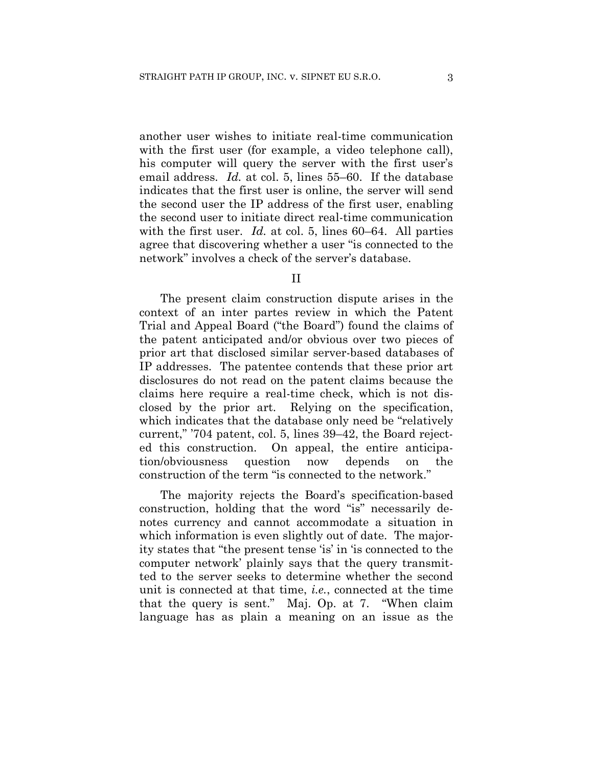another user wishes to initiate real-time communication with the first user (for example, a video telephone call), his computer will query the server with the first user's email address. *Id.* at col. 5, lines 55–60. If the database indicates that the first user is online, the server will send the second user the IP address of the first user, enabling the second user to initiate direct real-time communication with the first user. *Id.* at col. 5, lines 60–64. All parties agree that discovering whether a user "is connected to the network" involves a check of the server's database.

## II

The present claim construction dispute arises in the context of an inter partes review in which the Patent Trial and Appeal Board ("the Board") found the claims of the patent anticipated and/or obvious over two pieces of prior art that disclosed similar server-based databases of IP addresses. The patentee contends that these prior art disclosures do not read on the patent claims because the claims here require a real-time check, which is not disclosed by the prior art. Relying on the specification, which indicates that the database only need be "relatively current," '704 patent, col. 5, lines 39–42, the Board rejected this construction. On appeal, the entire anticipation/obviousness question now depends on the construction of the term "is connected to the network."

The majority rejects the Board's specification-based construction, holding that the word "is" necessarily denotes currency and cannot accommodate a situation in which information is even slightly out of date. The majority states that "the present tense 'is' in 'is connected to the computer network' plainly says that the query transmitted to the server seeks to determine whether the second unit is connected at that time, *i.e.*, connected at the time that the query is sent." Maj. Op. at 7. "When claim language has as plain a meaning on an issue as the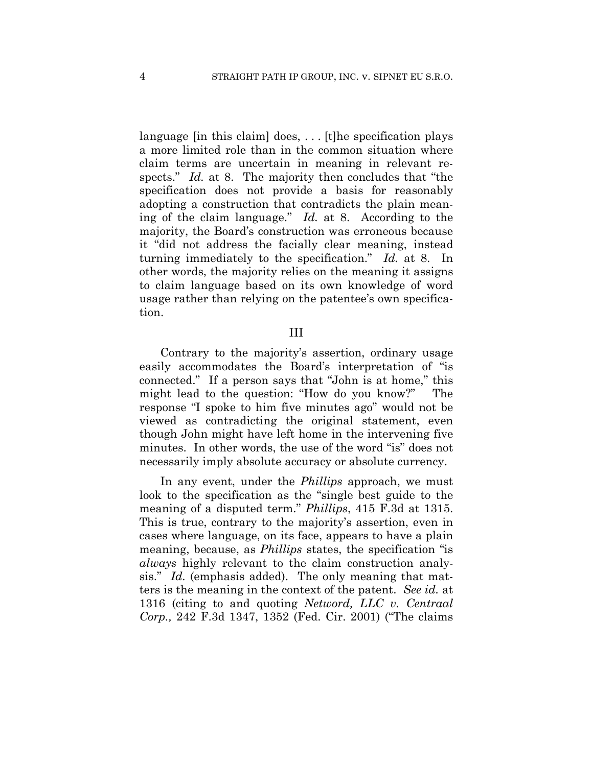language [in this claim] does, ... [t] he specification plays a more limited role than in the common situation where claim terms are uncertain in meaning in relevant respects." *Id.* at 8. The majority then concludes that "the specification does not provide a basis for reasonably adopting a construction that contradicts the plain meaning of the claim language." *Id.* at 8. According to the majority, the Board's construction was erroneous because it "did not address the facially clear meaning, instead turning immediately to the specification." *Id.* at 8. In other words, the majority relies on the meaning it assigns to claim language based on its own knowledge of word usage rather than relying on the patentee's own specification.

## III

Contrary to the majority's assertion, ordinary usage easily accommodates the Board's interpretation of "is connected." If a person says that "John is at home," this might lead to the question: "How do you know?" The response "I spoke to him five minutes ago" would not be viewed as contradicting the original statement, even though John might have left home in the intervening five minutes. In other words, the use of the word "is" does not necessarily imply absolute accuracy or absolute currency.

In any event, under the *Phillips* approach, we must look to the specification as the "single best guide to the meaning of a disputed term." *Phillips*, 415 F.3d at 1315. This is true, contrary to the majority's assertion, even in cases where language, on its face, appears to have a plain meaning, because, as *Phillips* states, the specification "is *always* highly relevant to the claim construction analysis." *Id.* (emphasis added). The only meaning that matters is the meaning in the context of the patent. *See id.* at 1316 (citing to and quoting *Netword, LLC v. Centraal Corp.,* 242 F.3d 1347, 1352 (Fed. Cir. 2001) ("The claims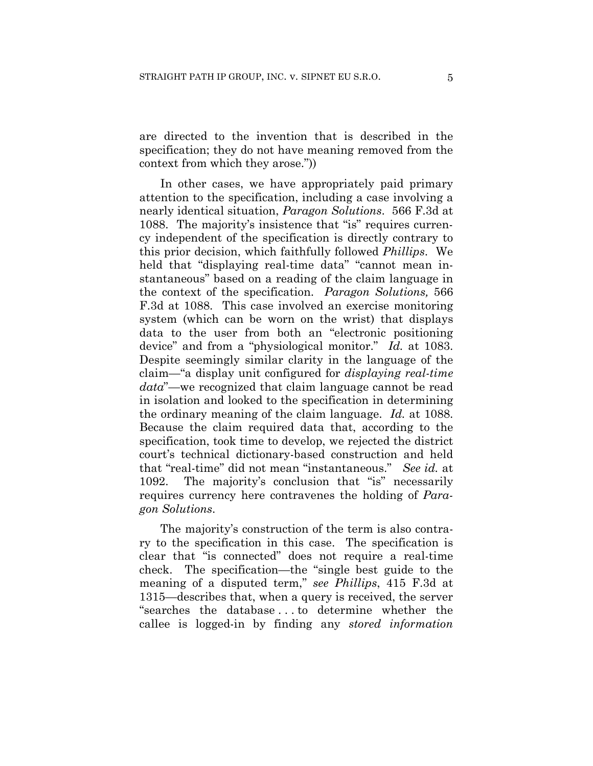are directed to the invention that is described in the specification; they do not have meaning removed from the context from which they arose."))

In other cases, we have appropriately paid primary attention to the specification, including a case involving a nearly identical situation, *Paragon Solutions*. 566 F.3d at 1088. The majority's insistence that "is" requires currency independent of the specification is directly contrary to this prior decision, which faithfully followed *Phillips*. We held that "displaying real-time data" "cannot mean instantaneous" based on a reading of the claim language in the context of the specification. *Paragon Solutions,* 566 F.3d at 1088. This case involved an exercise monitoring system (which can be worn on the wrist) that displays data to the user from both an "electronic positioning device" and from a "physiological monitor." *Id.* at 1083. Despite seemingly similar clarity in the language of the claim—"a display unit configured for *displaying real-time data*"—we recognized that claim language cannot be read in isolation and looked to the specification in determining the ordinary meaning of the claim language. *Id.* at 1088. Because the claim required data that, according to the specification, took time to develop, we rejected the district court's technical dictionary-based construction and held that "real-time" did not mean "instantaneous." *See id.* at 1092. The majority's conclusion that "is" necessarily requires currency here contravenes the holding of *Paragon Solutions*.

The majority's construction of the term is also contrary to the specification in this case. The specification is clear that "is connected" does not require a real-time check. The specification—the "single best guide to the meaning of a disputed term," *see Phillips*, 415 F.3d at 1315—describes that, when a query is received, the server "searches the database . . . to determine whether the callee is logged-in by finding any *stored information*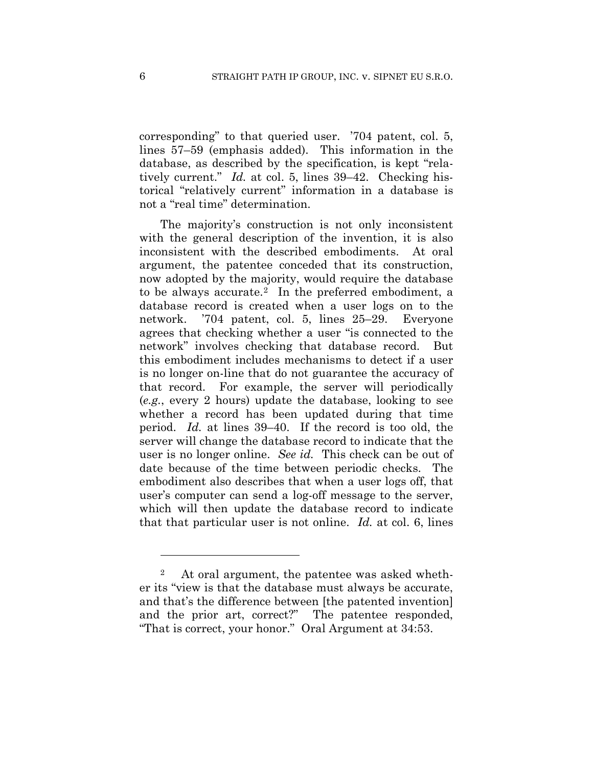corresponding" to that queried user. '704 patent, col. 5, lines 57–59 (emphasis added). This information in the database, as described by the specification, is kept "relatively current." *Id.* at col. 5, lines 39–42. Checking historical "relatively current" information in a database is not a "real time" determination.

The majority's construction is not only inconsistent with the general description of the invention, it is also inconsistent with the described embodiments. At oral argument, the patentee conceded that its construction, now adopted by the majority, would require the database to be always accurate.2 In the preferred embodiment, a database record is created when a user logs on to the network. '704 patent, col. 5, lines 25–29.Everyone agrees that checking whether a user "is connected to the network" involves checking that database record. But this embodiment includes mechanisms to detect if a user is no longer on-line that do not guarantee the accuracy of that record. For example, the server will periodically (*e.g.*, every 2 hours) update the database, looking to see whether a record has been updated during that time period. *Id.* at lines 39–40. If the record is too old, the server will change the database record to indicate that the user is no longer online. *See id.*This check can be out of date because of the time between periodic checks. The embodiment also describes that when a user logs off, that user's computer can send a log-off message to the server, which will then update the database record to indicate that that particular user is not online. *Id.* at col. 6, lines

1

<sup>2</sup> At oral argument, the patentee was asked whether its "view is that the database must always be accurate, and that's the difference between [the patented invention] and the prior art, correct?" The patentee responded, "That is correct, your honor." Oral Argument at 34:53.